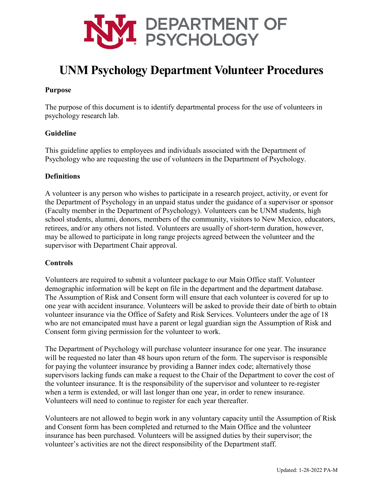

# **UNM Psychology Department Volunteer Procedures**

## **Purpose**

The purpose of this document is to identify departmental process for the use of volunteers in psychology research lab.

## **Guideline**

This guideline applies to employees and individuals associated with the Department of Psychology who are requesting the use of volunteers in the Department of Psychology.

### **Definitions**

A volunteer is any person who wishes to participate in a research project, activity, or event for the Department of Psychology in an unpaid status under the guidance of a supervisor or sponsor (Faculty member in the Department of Psychology). Volunteers can be UNM students, high school students, alumni, donors, members of the community, visitors to New Mexico, educators, retirees, and/or any others not listed. Volunteers are usually of short-term duration, however, may be allowed to participate in long range projects agreed between the volunteer and the supervisor with Department Chair approval.

# **Controls**

Volunteers are required to submit a volunteer package to our Main Office staff. Volunteer demographic information will be kept on file in the department and the department database. The Assumption of Risk and Consent form will ensure that each volunteer is covered for up to one year with accident insurance. Volunteers will be asked to provide their date of birth to obtain volunteer insurance via the Office of Safety and Risk Services. Volunteers under the age of 18 who are not emancipated must have a parent or legal guardian sign the Assumption of Risk and Consent form giving permission for the volunteer to work.

The Department of Psychology will purchase volunteer insurance for one year. The insurance will be requested no later than 48 hours upon return of the form. The supervisor is responsible for paying the volunteer insurance by providing a Banner index code; alternatively those supervisors lacking funds can make a request to the Chair of the Department to cover the cost of the volunteer insurance. It is the responsibility of the supervisor and volunteer to re-register when a term is extended, or will last longer than one year, in order to renew insurance. Volunteers will need to continue to register for each year thereafter.

Volunteers are not allowed to begin work in any voluntary capacity until the Assumption of Risk and Consent form has been completed and returned to the Main Office and the volunteer insurance has been purchased. Volunteers will be assigned duties by their supervisor; the volunteer's activities are not the direct responsibility of the Department staff.